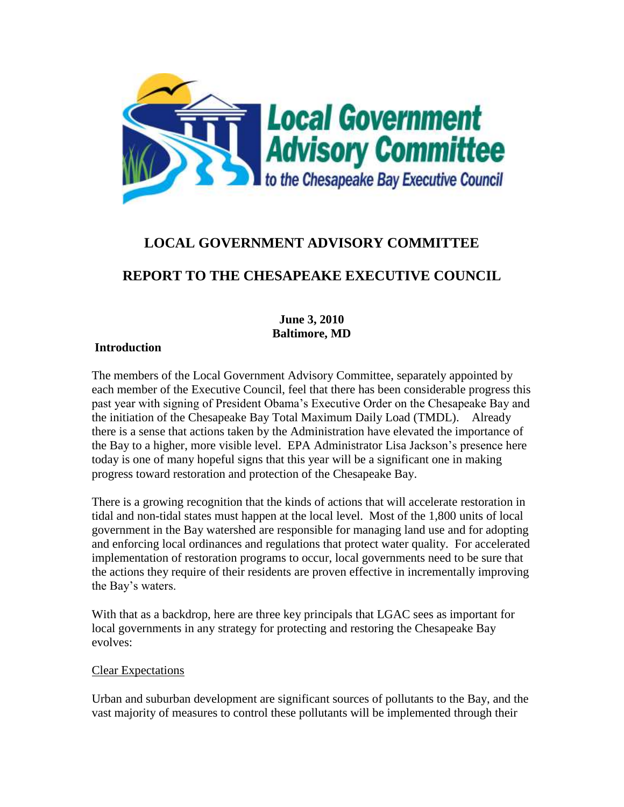

# **LOCAL GOVERNMENT ADVISORY COMMITTEE**

## **REPORT TO THE CHESAPEAKE EXECUTIVE COUNCIL**

## **June 3, 2010 Baltimore, MD**

## **Introduction**

The members of the Local Government Advisory Committee, separately appointed by each member of the Executive Council, feel that there has been considerable progress this past year with signing of President Obama's Executive Order on the Chesapeake Bay and the initiation of the Chesapeake Bay Total Maximum Daily Load (TMDL). Already there is a sense that actions taken by the Administration have elevated the importance of the Bay to a higher, more visible level. EPA Administrator Lisa Jackson's presence here today is one of many hopeful signs that this year will be a significant one in making progress toward restoration and protection of the Chesapeake Bay.

There is a growing recognition that the kinds of actions that will accelerate restoration in tidal and non-tidal states must happen at the local level. Most of the 1,800 units of local government in the Bay watershed are responsible for managing land use and for adopting and enforcing local ordinances and regulations that protect water quality. For accelerated implementation of restoration programs to occur, local governments need to be sure that the actions they require of their residents are proven effective in incrementally improving the Bay's waters.

With that as a backdrop, here are three key principals that LGAC sees as important for local governments in any strategy for protecting and restoring the Chesapeake Bay evolves:

#### Clear Expectations

Urban and suburban development are significant sources of pollutants to the Bay, and the vast majority of measures to control these pollutants will be implemented through their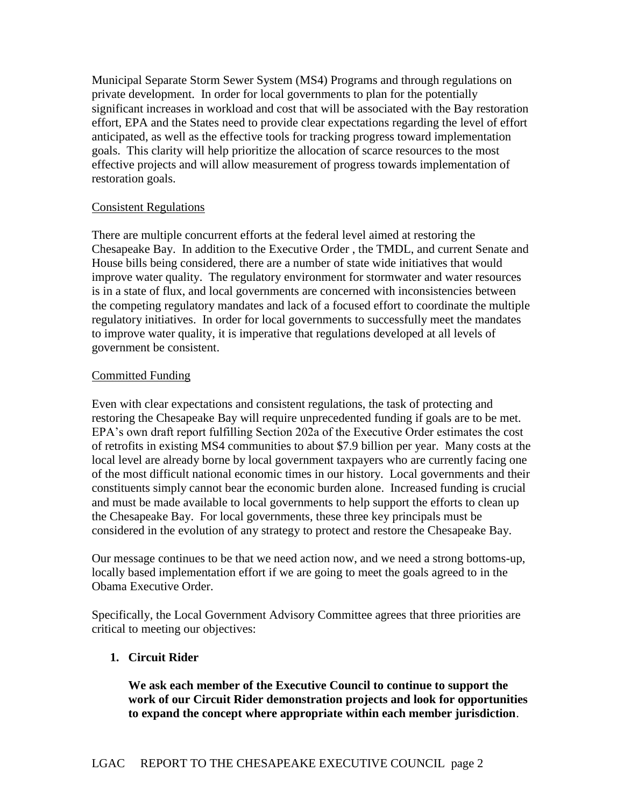Municipal Separate Storm Sewer System (MS4) Programs and through regulations on private development. In order for local governments to plan for the potentially significant increases in workload and cost that will be associated with the Bay restoration effort, EPA and the States need to provide clear expectations regarding the level of effort anticipated, as well as the effective tools for tracking progress toward implementation goals. This clarity will help prioritize the allocation of scarce resources to the most effective projects and will allow measurement of progress towards implementation of restoration goals.

### Consistent Regulations

There are multiple concurrent efforts at the federal level aimed at restoring the Chesapeake Bay. In addition to the Executive Order , the TMDL, and current Senate and House bills being considered, there are a number of state wide initiatives that would improve water quality. The regulatory environment for stormwater and water resources is in a state of flux, and local governments are concerned with inconsistencies between the competing regulatory mandates and lack of a focused effort to coordinate the multiple regulatory initiatives. In order for local governments to successfully meet the mandates to improve water quality, it is imperative that regulations developed at all levels of government be consistent.

#### Committed Funding

Even with clear expectations and consistent regulations, the task of protecting and restoring the Chesapeake Bay will require unprecedented funding if goals are to be met. EPA's own draft report fulfilling Section 202a of the Executive Order estimates the cost of retrofits in existing MS4 communities to about \$7.9 billion per year. Many costs at the local level are already borne by local government taxpayers who are currently facing one of the most difficult national economic times in our history. Local governments and their constituents simply cannot bear the economic burden alone. Increased funding is crucial and must be made available to local governments to help support the efforts to clean up the Chesapeake Bay. For local governments, these three key principals must be considered in the evolution of any strategy to protect and restore the Chesapeake Bay.

Our message continues to be that we need action now, and we need a strong bottoms-up, locally based implementation effort if we are going to meet the goals agreed to in the Obama Executive Order.

Specifically, the Local Government Advisory Committee agrees that three priorities are critical to meeting our objectives:

## **1. Circuit Rider**

**We ask each member of the Executive Council to continue to support the work of our Circuit Rider demonstration projects and look for opportunities to expand the concept where appropriate within each member jurisdiction**.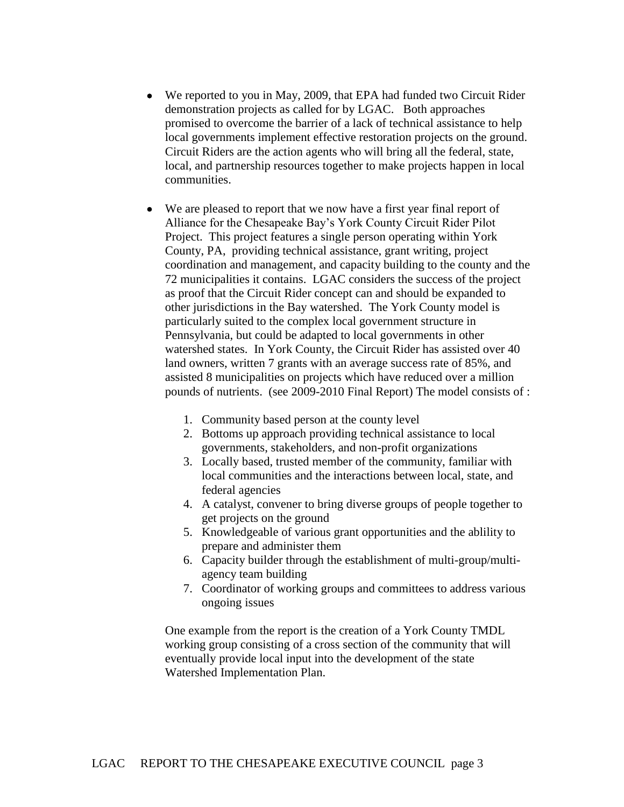- We reported to you in May, 2009, that EPA had funded two Circuit Rider demonstration projects as called for by LGAC. Both approaches promised to overcome the barrier of a lack of technical assistance to help local governments implement effective restoration projects on the ground. Circuit Riders are the action agents who will bring all the federal, state, local, and partnership resources together to make projects happen in local communities.
- We are pleased to report that we now have a first year final report of Alliance for the Chesapeake Bay's York County Circuit Rider Pilot Project. This project features a single person operating within York County, PA, providing technical assistance, grant writing, project coordination and management, and capacity building to the county and the 72 municipalities it contains. LGAC considers the success of the project as proof that the Circuit Rider concept can and should be expanded to other jurisdictions in the Bay watershed. The York County model is particularly suited to the complex local government structure in Pennsylvania, but could be adapted to local governments in other watershed states. In York County, the Circuit Rider has assisted over 40 land owners, written 7 grants with an average success rate of 85%, and assisted 8 municipalities on projects which have reduced over a million pounds of nutrients. (see 2009-2010 Final Report) The model consists of :
	- 1. Community based person at the county level
	- 2. Bottoms up approach providing technical assistance to local governments, stakeholders, and non-profit organizations
	- 3. Locally based, trusted member of the community, familiar with local communities and the interactions between local, state, and federal agencies
	- 4. A catalyst, convener to bring diverse groups of people together to get projects on the ground
	- 5. Knowledgeable of various grant opportunities and the ablility to prepare and administer them
	- 6. Capacity builder through the establishment of multi-group/multiagency team building
	- 7. Coordinator of working groups and committees to address various ongoing issues

 One example from the report is the creation of a York County TMDL working group consisting of a cross section of the community that will eventually provide local input into the development of the state Watershed Implementation Plan.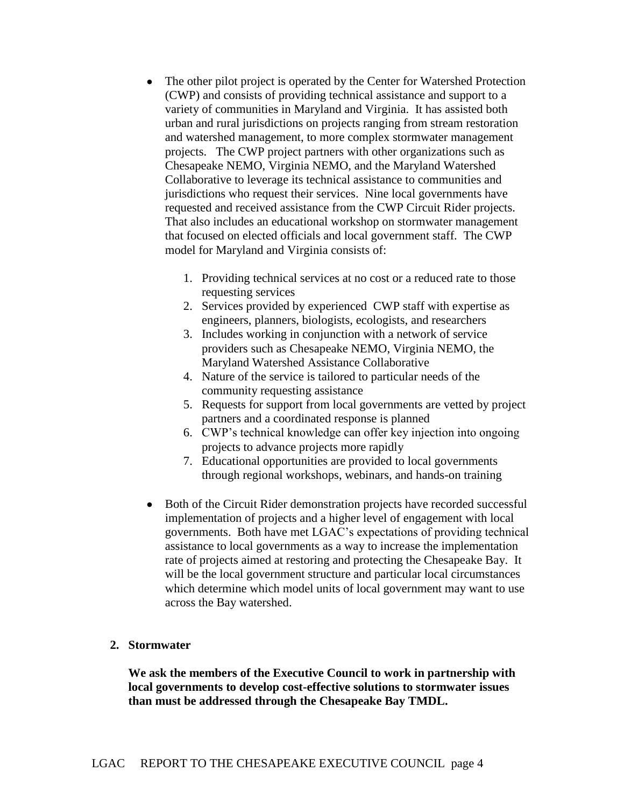- The other pilot project is operated by the Center for Watershed Protection (CWP) and consists of providing technical assistance and support to a variety of communities in Maryland and Virginia. It has assisted both urban and rural jurisdictions on projects ranging from stream restoration and watershed management, to more complex stormwater management projects. The CWP project partners with other organizations such as Chesapeake NEMO, Virginia NEMO, and the Maryland Watershed Collaborative to leverage its technical assistance to communities and jurisdictions who request their services. Nine local governments have requested and received assistance from the CWP Circuit Rider projects. That also includes an educational workshop on stormwater management that focused on elected officials and local government staff. The CWP model for Maryland and Virginia consists of:
	- 1. Providing technical services at no cost or a reduced rate to those requesting services
	- 2. Services provided by experienced CWP staff with expertise as engineers, planners, biologists, ecologists, and researchers
	- 3. Includes working in conjunction with a network of service providers such as Chesapeake NEMO, Virginia NEMO, the Maryland Watershed Assistance Collaborative
	- 4. Nature of the service is tailored to particular needs of the community requesting assistance
	- 5. Requests for support from local governments are vetted by project partners and a coordinated response is planned
	- 6. CWP's technical knowledge can offer key injection into ongoing projects to advance projects more rapidly
	- 7. Educational opportunities are provided to local governments through regional workshops, webinars, and hands-on training
- Both of the Circuit Rider demonstration projects have recorded successful implementation of projects and a higher level of engagement with local governments. Both have met LGAC's expectations of providing technical assistance to local governments as a way to increase the implementation rate of projects aimed at restoring and protecting the Chesapeake Bay. It will be the local government structure and particular local circumstances which determine which model units of local government may want to use across the Bay watershed.

## **2. Stormwater**

**We ask the members of the Executive Council to work in partnership with local governments to develop cost-effective solutions to stormwater issues than must be addressed through the Chesapeake Bay TMDL.**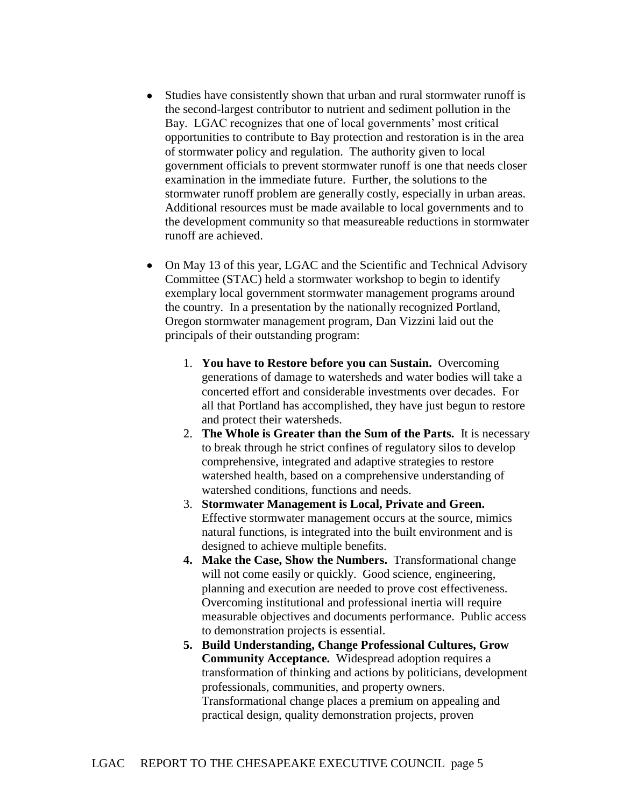- Studies have consistently shown that urban and rural stormwater runoff is the second-largest contributor to nutrient and sediment pollution in the Bay. LGAC recognizes that one of local governments' most critical opportunities to contribute to Bay protection and restoration is in the area of stormwater policy and regulation. The authority given to local government officials to prevent stormwater runoff is one that needs closer examination in the immediate future. Further, the solutions to the stormwater runoff problem are generally costly, especially in urban areas. Additional resources must be made available to local governments and to the development community so that measureable reductions in stormwater runoff are achieved.
- On May 13 of this year, LGAC and the Scientific and Technical Advisory Committee (STAC) held a stormwater workshop to begin to identify exemplary local government stormwater management programs around the country. In a presentation by the nationally recognized Portland, Oregon stormwater management program, Dan Vizzini laid out the principals of their outstanding program:
	- 1. **You have to Restore before you can Sustain.** Overcoming generations of damage to watersheds and water bodies will take a concerted effort and considerable investments over decades. For all that Portland has accomplished, they have just begun to restore and protect their watersheds.
	- 2. **The Whole is Greater than the Sum of the Parts.** It is necessary to break through he strict confines of regulatory silos to develop comprehensive, integrated and adaptive strategies to restore watershed health, based on a comprehensive understanding of watershed conditions, functions and needs.
	- 3. **Stormwater Management is Local, Private and Green.**  Effective stormwater management occurs at the source, mimics natural functions, is integrated into the built environment and is designed to achieve multiple benefits.
	- **4. Make the Case, Show the Numbers.** Transformational change will not come easily or quickly. Good science, engineering, planning and execution are needed to prove cost effectiveness. Overcoming institutional and professional inertia will require measurable objectives and documents performance. Public access to demonstration projects is essential.
	- **5. Build Understanding, Change Professional Cultures, Grow Community Acceptance.** Widespread adoption requires a transformation of thinking and actions by politicians, development professionals, communities, and property owners. Transformational change places a premium on appealing and practical design, quality demonstration projects, proven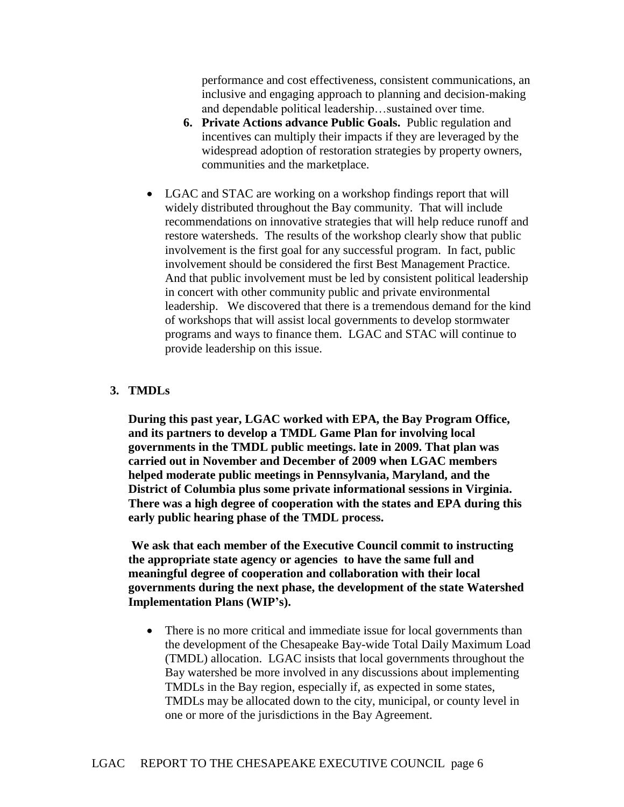performance and cost effectiveness, consistent communications, an inclusive and engaging approach to planning and decision-making and dependable political leadership…sustained over time.

- **6. Private Actions advance Public Goals.** Public regulation and incentives can multiply their impacts if they are leveraged by the widespread adoption of restoration strategies by property owners, communities and the marketplace.
- LGAC and STAC are working on a workshop findings report that will widely distributed throughout the Bay community. That will include recommendations on innovative strategies that will help reduce runoff and restore watersheds. The results of the workshop clearly show that public involvement is the first goal for any successful program. In fact, public involvement should be considered the first Best Management Practice. And that public involvement must be led by consistent political leadership in concert with other community public and private environmental leadership. We discovered that there is a tremendous demand for the kind of workshops that will assist local governments to develop stormwater programs and ways to finance them. LGAC and STAC will continue to provide leadership on this issue.

#### **3. TMDLs**

**During this past year, LGAC worked with EPA, the Bay Program Office, and its partners to develop a TMDL Game Plan for involving local governments in the TMDL public meetings. late in 2009. That plan was carried out in November and December of 2009 when LGAC members helped moderate public meetings in Pennsylvania, Maryland, and the District of Columbia plus some private informational sessions in Virginia. There was a high degree of cooperation with the states and EPA during this early public hearing phase of the TMDL process.** 

**We ask that each member of the Executive Council commit to instructing the appropriate state agency or agencies to have the same full and meaningful degree of cooperation and collaboration with their local governments during the next phase, the development of the state Watershed Implementation Plans (WIP's).**

• There is no more critical and immediate issue for local governments than the development of the Chesapeake Bay-wide Total Daily Maximum Load (TMDL) allocation. LGAC insists that local governments throughout the Bay watershed be more involved in any discussions about implementing TMDLs in the Bay region, especially if, as expected in some states, TMDLs may be allocated down to the city, municipal, or county level in one or more of the jurisdictions in the Bay Agreement.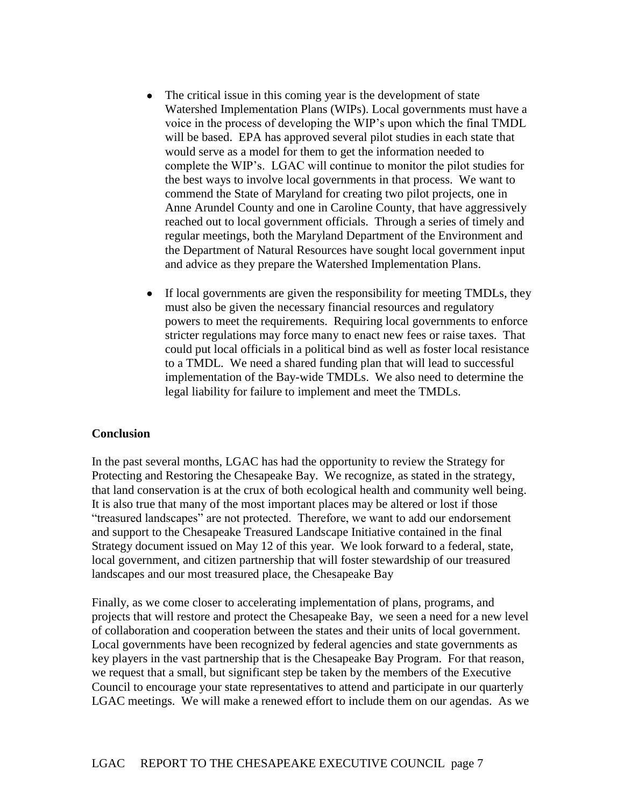- The critical issue in this coming year is the development of state Watershed Implementation Plans (WIPs). Local governments must have a voice in the process of developing the WIP's upon which the final TMDL will be based. EPA has approved several pilot studies in each state that would serve as a model for them to get the information needed to complete the WIP's. LGAC will continue to monitor the pilot studies for the best ways to involve local governments in that process. We want to commend the State of Maryland for creating two pilot projects, one in Anne Arundel County and one in Caroline County, that have aggressively reached out to local government officials. Through a series of timely and regular meetings, both the Maryland Department of the Environment and the Department of Natural Resources have sought local government input and advice as they prepare the Watershed Implementation Plans.
- If local governments are given the responsibility for meeting TMDLs, they must also be given the necessary financial resources and regulatory powers to meet the requirements. Requiring local governments to enforce stricter regulations may force many to enact new fees or raise taxes. That could put local officials in a political bind as well as foster local resistance to a TMDL. We need a shared funding plan that will lead to successful implementation of the Bay-wide TMDLs. We also need to determine the legal liability for failure to implement and meet the TMDLs.

#### **Conclusion**

In the past several months, LGAC has had the opportunity to review the Strategy for Protecting and Restoring the Chesapeake Bay. We recognize, as stated in the strategy, that land conservation is at the crux of both ecological health and community well being. It is also true that many of the most important places may be altered or lost if those "treasured landscapes" are not protected. Therefore, we want to add our endorsement and support to the Chesapeake Treasured Landscape Initiative contained in the final Strategy document issued on May 12 of this year. We look forward to a federal, state, local government, and citizen partnership that will foster stewardship of our treasured landscapes and our most treasured place, the Chesapeake Bay

Finally, as we come closer to accelerating implementation of plans, programs, and projects that will restore and protect the Chesapeake Bay, we seen a need for a new level of collaboration and cooperation between the states and their units of local government. Local governments have been recognized by federal agencies and state governments as key players in the vast partnership that is the Chesapeake Bay Program. For that reason, we request that a small, but significant step be taken by the members of the Executive Council to encourage your state representatives to attend and participate in our quarterly LGAC meetings. We will make a renewed effort to include them on our agendas. As we